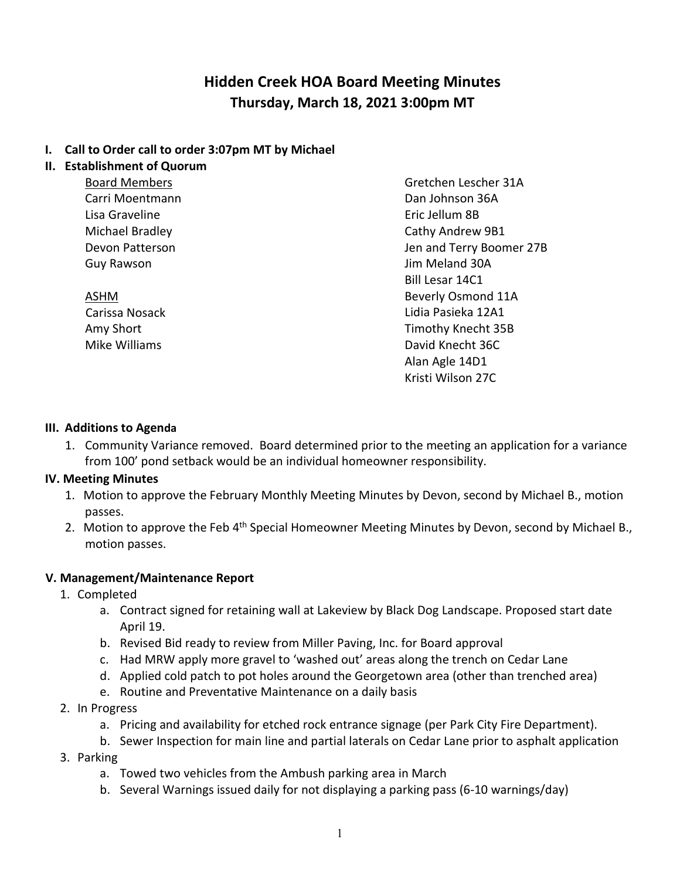# **Hidden Creek HOA Board Meeting Minutes Thursday, March 18, 2021 3:00pm MT**

#### **I. Call to Order call to order 3:07pm MT by Michael**

#### **II. Establishment of Quorum**

Board Members Carri Moentmann Lisa Graveline Michael Bradley Devon Patterson Guy Rawson

ASHM Carissa Nosack Amy Short Mike Williams

Gretchen Lescher 31A Dan Johnson 36A Eric Jellum 8B Cathy Andrew 9B1 Jen and Terry Boomer 27B Jim Meland 30A Bill Lesar 14C1 Beverly Osmond 11A Lidia Pasieka 12A1 Timothy Knecht 35B David Knecht 36C Alan Agle 14D1 Kristi Wilson 27C

#### **III. Additions to Agenda**

1. Community Variance removed. Board determined prior to the meeting an application for a variance from 100' pond setback would be an individual homeowner responsibility.

#### **IV. Meeting Minutes**

- 1. Motion to approve the February Monthly Meeting Minutes by Devon, second by Michael B., motion passes.
- 2. Motion to approve the Feb 4<sup>th</sup> Special Homeowner Meeting Minutes by Devon, second by Michael B., motion passes.

### **V. Management/Maintenance Report**

- 1. Completed
	- a. Contract signed for retaining wall at Lakeview by Black Dog Landscape. Proposed start date April 19.
	- b. Revised Bid ready to review from Miller Paving, Inc. for Board approval
	- c. Had MRW apply more gravel to 'washed out' areas along the trench on Cedar Lane
	- d. Applied cold patch to pot holes around the Georgetown area (other than trenched area)
	- e. Routine and Preventative Maintenance on a daily basis
- 2. In Progress
	- a. Pricing and availability for etched rock entrance signage (per Park City Fire Department).
	- b. Sewer Inspection for main line and partial laterals on Cedar Lane prior to asphalt application
- 3. Parking
	- a. Towed two vehicles from the Ambush parking area in March
	- b. Several Warnings issued daily for not displaying a parking pass (6-10 warnings/day)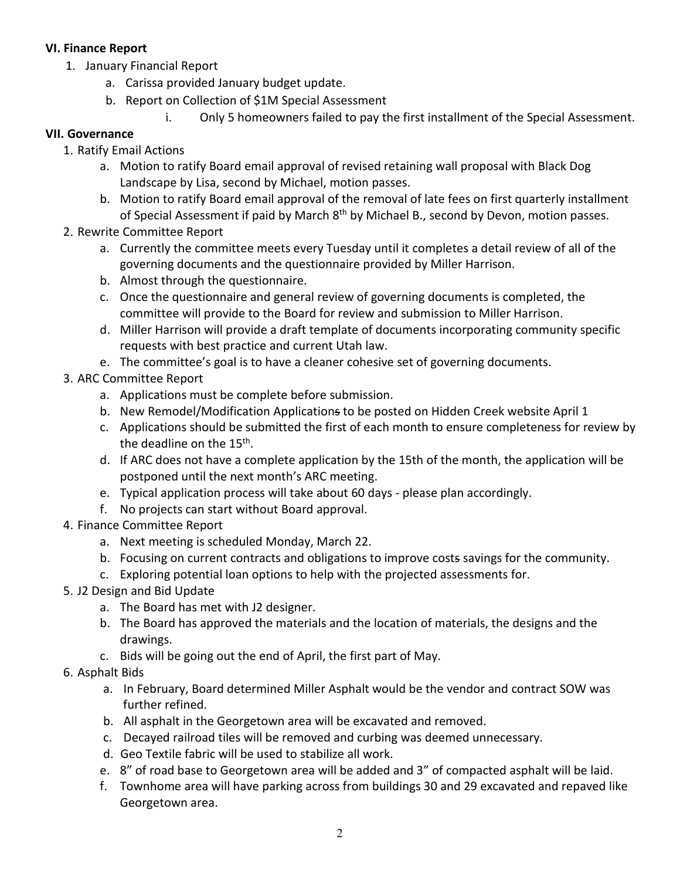### **VI. Finance Report**

- 1. January Financial Report
	- a. Carissa provided January budget update.
	- b. Report on Collection of \$1M Special Assessment
		- i. Only 5 homeowners failed to pay the first installment of the Special Assessment.

### **VII. Governance**

- 1. Ratify Email Actions
	- a. Motion to ratify Board email approval of revised retaining wall proposal with Black Dog Landscape by Lisa, second by Michael, motion passes.
	- b. Motion to ratify Board email approval of the removal of late fees on first quarterly installment of Special Assessment if paid by March 8<sup>th</sup> by Michael B., second by Devon, motion passes.
- 2. Rewrite Committee Report
	- a. Currently the committee meets every Tuesday until it completes a detail review of all of the governing documents and the questionnaire provided by Miller Harrison.
	- b. Almost through the questionnaire.
	- c. Once the questionnaire and general review of governing documents is completed, the committee will provide to the Board for review and submission to Miller Harrison.
	- d. Miller Harrison will provide a draft template of documents incorporating community specific requests with best practice and current Utah law.
	- e. The committee's goal is to have a cleaner cohesive set of governing documents.
- 3. ARC Committee Report
	- a. Applications must be complete before submission.
	- b. New Remodel/Modification Applications to be posted on Hidden Creek website April 1
	- c. Applications should be submitted the first of each month to ensure completeness for review by the deadline on the 15<sup>th</sup>.
	- d. If ARC does not have a complete application by the 15th of the month, the application will be postponed until the next month's ARC meeting.
	- e. Typical application process will take about 60 days please plan accordingly.
	- f. No projects can start without Board approval.
- 4. Finance Committee Report
	- a. Next meeting is scheduled Monday, March 22.
	- b. Focusing on current contracts and obligations to improve costs savings for the community.
	- c. Exploring potential loan options to help with the projected assessments for.
- 5. J2 Design and Bid Update
	- a. The Board has met with J2 designer.
	- b. The Board has approved the materials and the location of materials, the designs and the drawings.
	- c. Bids will be going out the end of April, the first part of May.
- 6. Asphalt Bids
	- a. In February, Board determined Miller Asphalt would be the vendor and contract SOW was further refined.
	- b. All asphalt in the Georgetown area will be excavated and removed.
	- c. Decayed railroad tiles will be removed and curbing was deemed unnecessary.
	- d. Geo Textile fabric will be used to stabilize all work.
	- e. 8" of road base to Georgetown area will be added and 3" of compacted asphalt will be laid.
	- f. Townhome area will have parking across from buildings 30 and 29 excavated and repaved like Georgetown area.